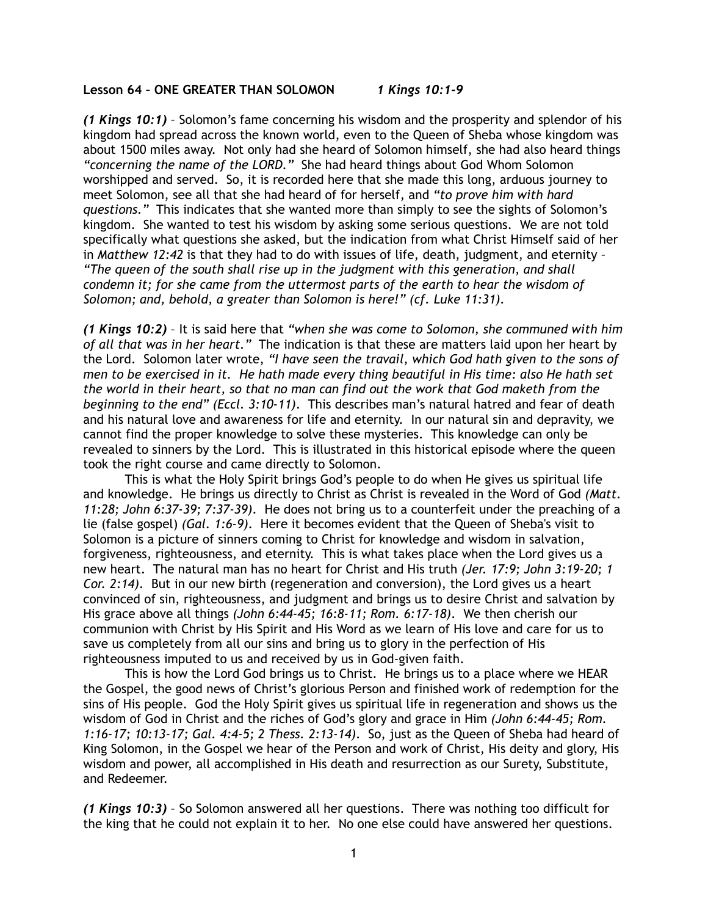## **Lesson 64 – ONE GREATER THAN SOLOMON** *1 Kings 10:1-9*

*(1 Kings 10:1)* – Solomon's fame concerning his wisdom and the prosperity and splendor of his kingdom had spread across the known world, even to the Queen of Sheba whose kingdom was about 1500 miles away. Not only had she heard of Solomon himself, she had also heard things *"concerning the name of the LORD."* She had heard things about God Whom Solomon worshipped and served. So, it is recorded here that she made this long, arduous journey to meet Solomon, see all that she had heard of for herself, and *"to prove him with hard questions."* This indicates that she wanted more than simply to see the sights of Solomon's kingdom. She wanted to test his wisdom by asking some serious questions. We are not told specifically what questions she asked, but the indication from what Christ Himself said of her in *Matthew 12:42* is that they had to do with issues of life, death, judgment, and eternity – *"The queen of the south shall rise up in the judgment with this generation, and shall condemn it; for she came from the uttermost parts of the earth to hear the wisdom of Solomon; and, behold, a greater than Solomon is here!" (cf. Luke 11:31).*

*(1 Kings 10:2)* – It is said here that *"when she was come to Solomon, she communed with him of all that was in her heart."* The indication is that these are matters laid upon her heart by the Lord. Solomon later wrote, *"I have seen the travail, which God hath given to the sons of men to be exercised in it. He hath made every thing beautiful in His time: also He hath set the world in their heart, so that no man can find out the work that God maketh from the beginning to the end" (Eccl. 3:10-11)*. This describes man's natural hatred and fear of death and his natural love and awareness for life and eternity. In our natural sin and depravity, we cannot find the proper knowledge to solve these mysteries. This knowledge can only be revealed to sinners by the Lord. This is illustrated in this historical episode where the queen took the right course and came directly to Solomon.

This is what the Holy Spirit brings God's people to do when He gives us spiritual life and knowledge. He brings us directly to Christ as Christ is revealed in the Word of God *(Matt. 11:28; John 6:37-39; 7:37-39)*. He does not bring us to a counterfeit under the preaching of a lie (false gospel) *(Gal. 1:6-9)*. Here it becomes evident that the Queen of Sheba's visit to Solomon is a picture of sinners coming to Christ for knowledge and wisdom in salvation, forgiveness, righteousness, and eternity. This is what takes place when the Lord gives us a new heart. The natural man has no heart for Christ and His truth *(Jer. 17:9; John 3:19-20; 1 Cor. 2:14)*. But in our new birth (regeneration and conversion), the Lord gives us a heart convinced of sin, righteousness, and judgment and brings us to desire Christ and salvation by His grace above all things *(John 6:44-45; 16:8-11; Rom. 6:17-18)*. We then cherish our communion with Christ by His Spirit and His Word as we learn of His love and care for us to save us completely from all our sins and bring us to glory in the perfection of His righteousness imputed to us and received by us in God-given faith.

 This is how the Lord God brings us to Christ. He brings us to a place where we HEAR the Gospel, the good news of Christ's glorious Person and finished work of redemption for the sins of His people. God the Holy Spirit gives us spiritual life in regeneration and shows us the wisdom of God in Christ and the riches of God's glory and grace in Him *(John 6:44-45; Rom. 1:16-17; 10:13-17; Gal. 4:4-5; 2 Thess. 2:13-14)*. So, just as the Queen of Sheba had heard of King Solomon, in the Gospel we hear of the Person and work of Christ, His deity and glory, His wisdom and power, all accomplished in His death and resurrection as our Surety, Substitute, and Redeemer.

*(1 Kings 10:3)* – So Solomon answered all her questions. There was nothing too difficult for the king that he could not explain it to her. No one else could have answered her questions.